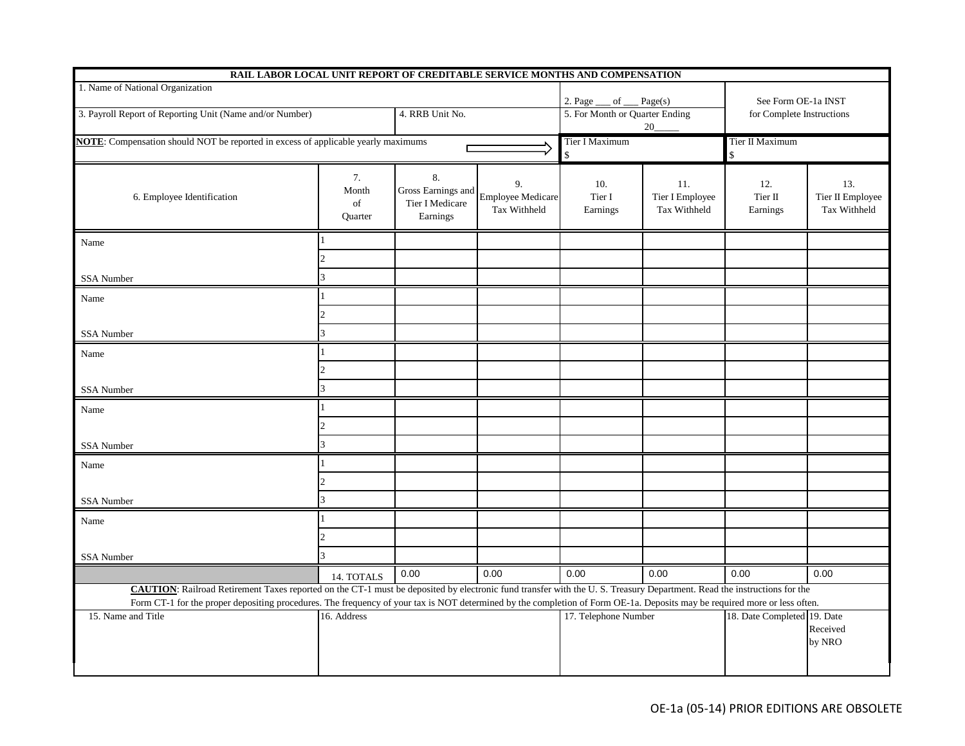| RAIL LABOR LOCAL UNIT REPORT OF CREDITABLE SERVICE MONTHS AND COMPENSATION                                                                                                                                                                                                                                                                                  |                              |                                                         |                                                |                                      |                                        |                             |                                         |
|-------------------------------------------------------------------------------------------------------------------------------------------------------------------------------------------------------------------------------------------------------------------------------------------------------------------------------------------------------------|------------------------------|---------------------------------------------------------|------------------------------------------------|--------------------------------------|----------------------------------------|-----------------------------|-----------------------------------------|
| 1. Name of National Organization                                                                                                                                                                                                                                                                                                                            |                              |                                                         |                                                | 2. Page<br>of $\_\_$ Page(s)         |                                        | See Form OE-1a INST         |                                         |
| 3. Payroll Report of Reporting Unit (Name and/or Number)                                                                                                                                                                                                                                                                                                    |                              | 4. RRB Unit No.                                         |                                                | 5. For Month or Quarter Ending<br>20 |                                        | for Complete Instructions   |                                         |
| NOTE: Compensation should NOT be reported in excess of applicable yearly maximums                                                                                                                                                                                                                                                                           |                              |                                                         |                                                | Tier I Maximum<br>\$                 |                                        | Tier II Maximum<br>\$       |                                         |
| 6. Employee Identification                                                                                                                                                                                                                                                                                                                                  | 7.<br>Month<br>of<br>Quarter | 8.<br>Gross Earnings and<br>Tier I Medicare<br>Earnings | 9.<br><b>Employee Medicare</b><br>Tax Withheld | 10.<br>Tier I<br>Earnings            | 11.<br>Tier I Employee<br>Tax Withheld | 12.<br>Tier II<br>Earnings  | 13.<br>Tier II Employee<br>Tax Withheld |
| Name                                                                                                                                                                                                                                                                                                                                                        |                              |                                                         |                                                |                                      |                                        |                             |                                         |
| <b>SSA Number</b>                                                                                                                                                                                                                                                                                                                                           |                              |                                                         |                                                |                                      |                                        |                             |                                         |
|                                                                                                                                                                                                                                                                                                                                                             |                              |                                                         |                                                |                                      |                                        |                             |                                         |
| Name                                                                                                                                                                                                                                                                                                                                                        |                              |                                                         |                                                |                                      |                                        |                             |                                         |
| SSA Number                                                                                                                                                                                                                                                                                                                                                  |                              |                                                         |                                                |                                      |                                        |                             |                                         |
| Name                                                                                                                                                                                                                                                                                                                                                        |                              |                                                         |                                                |                                      |                                        |                             |                                         |
|                                                                                                                                                                                                                                                                                                                                                             |                              |                                                         |                                                |                                      |                                        |                             |                                         |
| <b>SSA Number</b>                                                                                                                                                                                                                                                                                                                                           |                              |                                                         |                                                |                                      |                                        |                             |                                         |
| Name                                                                                                                                                                                                                                                                                                                                                        |                              |                                                         |                                                |                                      |                                        |                             |                                         |
|                                                                                                                                                                                                                                                                                                                                                             |                              |                                                         |                                                |                                      |                                        |                             |                                         |
| SSA Number                                                                                                                                                                                                                                                                                                                                                  |                              |                                                         |                                                |                                      |                                        |                             |                                         |
| Name                                                                                                                                                                                                                                                                                                                                                        |                              |                                                         |                                                |                                      |                                        |                             |                                         |
|                                                                                                                                                                                                                                                                                                                                                             |                              |                                                         |                                                |                                      |                                        |                             |                                         |
| SSA Number                                                                                                                                                                                                                                                                                                                                                  |                              |                                                         |                                                |                                      |                                        |                             |                                         |
| Name                                                                                                                                                                                                                                                                                                                                                        |                              |                                                         |                                                |                                      |                                        |                             |                                         |
|                                                                                                                                                                                                                                                                                                                                                             |                              |                                                         |                                                |                                      |                                        |                             |                                         |
| SSA Number                                                                                                                                                                                                                                                                                                                                                  |                              |                                                         |                                                |                                      |                                        |                             |                                         |
|                                                                                                                                                                                                                                                                                                                                                             | 14. TOTALS                   | 0.00                                                    | 0.00                                           | 0.00                                 | 0.00                                   | 0.00                        | 0.00                                    |
| <b>CAUTION</b> : Railroad Retirement Taxes reported on the CT-1 must be deposited by electronic fund transfer with the U.S. Treasury Department. Read the instructions for the<br>Form CT-1 for the proper depositing procedures. The frequency of your tax is NOT determined by the completion of Form OE-1a. Deposits may be required more or less often. |                              |                                                         |                                                |                                      |                                        |                             |                                         |
| 15. Name and Title                                                                                                                                                                                                                                                                                                                                          | 16. Address                  |                                                         |                                                | 17. Telephone Number                 |                                        | 18. Date Completed 19. Date | Received<br>by NRO                      |